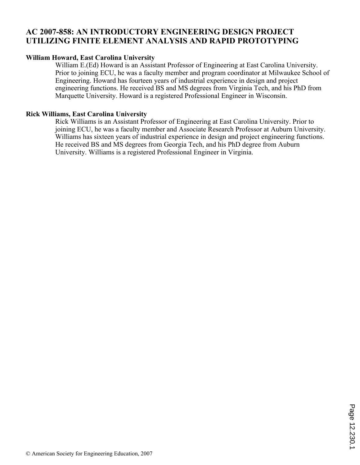## **AC 2007-858: AN INTRODUCTORY ENGINEERING DESIGN PROJECT UTILIZING FINITE ELEMENT ANALYSIS AND RAPID PROTOTYPING**

## **William Howard, East Carolina University**

William E.(Ed) Howard is an Assistant Professor of Engineering at East Carolina University. Prior to joining ECU, he was a faculty member and program coordinator at Milwaukee School of Engineering. Howard has fourteen years of industrial experience in design and project engineering functions. He received BS and MS degrees from Virginia Tech, and his PhD from Marquette University. Howard is a registered Professional Engineer in Wisconsin.

## **Rick Williams, East Carolina University**

Rick Williams is an Assistant Professor of Engineering at East Carolina University. Prior to joining ECU, he was a faculty member and Associate Research Professor at Auburn University. Williams has sixteen years of industrial experience in design and project engineering functions. He received BS and MS degrees from Georgia Tech, and his PhD degree from Auburn University. Williams is a registered Professional Engineer in Virginia.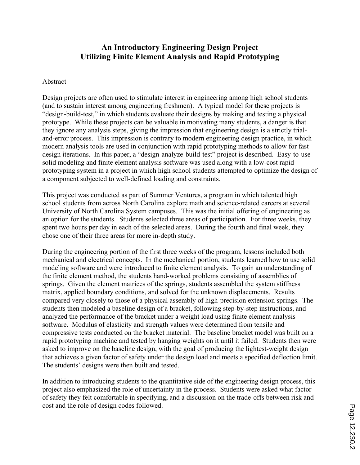# **An Introductory Engineering Design Project Utilizing Finite Element Analysis and Rapid Prototyping**

#### Abstract

Design projects are often used to stimulate interest in engineering among high school students (and to sustain interest among engineering freshmen). A typical model for these projects is "design-build-test," in which students evaluate their designs by making and testing a physical prototype. While these projects can be valuable in motivating many students, a danger is that they ignore any analysis steps, giving the impression that engineering design is a strictly trialand-error process. This impression is contrary to modern engineering design practice, in which modern analysis tools are used in conjunction with rapid prototyping methods to allow for fast design iterations. In this paper, a "design-analyze-build-test" project is described. Easy-to-use solid modeling and finite element analysis software was used along with a low-cost rapid prototyping system in a project in which high school students attempted to optimize the design of a component subjected to well-defined loading and constraints.

This project was conducted as part of Summer Ventures, a program in which talented high school students from across North Carolina explore math and science-related careers at several University of North Carolina System campuses. This was the initial offering of engineering as an option for the students. Students selected three areas of participation. For three weeks, they spent two hours per day in each of the selected areas. During the fourth and final week, they chose one of their three areas for more in-depth study.

During the engineering portion of the first three weeks of the program, lessons included both mechanical and electrical concepts. In the mechanical portion, students learned how to use solid modeling software and were introduced to finite element analysis. To gain an understanding of the finite element method, the students hand-worked problems consisting of assemblies of springs. Given the element matrices of the springs, students assembled the system stiffness matrix, applied boundary conditions, and solved for the unknown displacements. Results compared very closely to those of a physical assembly of high-precision extension springs. The students then modeled a baseline design of a bracket, following step-by-step instructions, and analyzed the performance of the bracket under a weight load using finite element analysis software. Modulus of elasticity and strength values were determined from tensile and compressive tests conducted on the bracket material. The baseline bracket model was built on a rapid prototyping machine and tested by hanging weights on it until it failed. Students then were asked to improve on the baseline design, with the goal of producing the lightest-weight design that achieves a given factor of safety under the design load and meets a specified deflection limit. The students' designs were then built and tested.

In addition to introducing students to the quantitative side of the engineering design process, this project also emphasized the role of uncertainty in the process. Students were asked what factor of safety they felt comfortable in specifying, and a discussion on the trade-offs between risk and cost and the role of design codes followed.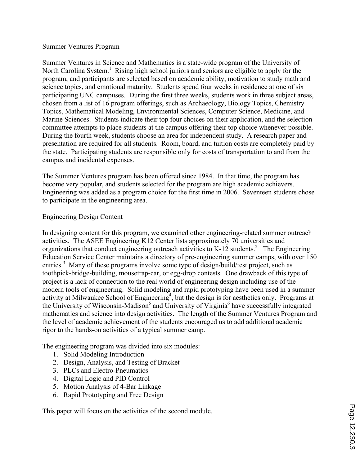## Summer Ventures Program

Summer Ventures in Science and Mathematics is a state-wide program of the University of North Carolina System.<sup>1</sup> Rising high school juniors and seniors are eligible to apply for the program, and participants are selected based on academic ability, motivation to study math and science topics, and emotional maturity. Students spend four weeks in residence at one of six participating UNC campuses. During the first three weeks, students work in three subject areas, chosen from a list of 16 program offerings, such as Archaeology, Biology Topics, Chemistry Topics, Mathematical Modeling, Environmental Sciences, Computer Science, Medicine, and Marine Sciences. Students indicate their top four choices on their application, and the selection committee attempts to place students at the campus offering their top choice whenever possible. During the fourth week, students choose an area for independent study. A research paper and presentation are required for all students. Room, board, and tuition costs are completely paid by the state. Participating students are responsible only for costs of transportation to and from the campus and incidental expenses.

The Summer Ventures program has been offered since 1984. In that time, the program has become very popular, and students selected for the program are high academic achievers. Engineering was added as a program choice for the first time in 2006. Seventeen students chose to participate in the engineering area.

## Engineering Design Content

In designing content for this program, we examined other engineering-related summer outreach activities. The ASEE Engineering K12 Center lists approximately 70 universities and organizations that conduct engineering outreach activities to K-12 students.<sup>2</sup> The Engineering Education Service Center maintains a directory of pre-engineering summer camps, with over 150 entries.<sup>3</sup> Many of these programs involve some type of design/build/test project, such as toothpick-bridge-building, mousetrap-car, or egg-drop contests. One drawback of this type of project is a lack of connection to the real world of engineering design including use of the modern tools of engineering. Solid modeling and rapid prototyping have been used in a summer activity at Milwaukee School of Engineering<sup>4</sup>, but the design is for aesthetics only. Programs at the University of Wisconsin-Madison<sup>5</sup> and University of Virginia<sup>6</sup> have successfully integrated mathematics and science into design activities. The length of the Summer Ventures Program and the level of academic achievement of the students encouraged us to add additional academic rigor to the hands-on activities of a typical summer camp.

The engineering program was divided into six modules:

- 1. Solid Modeling Introduction
- 2. Design, Analysis, and Testing of Bracket
- 3. PLCs and Electro-Pneumatics
- 4. Digital Logic and PID Control
- 5. Motion Analysis of 4-Bar Linkage
- 6. Rapid Prototyping and Free Design

This paper will focus on the activities of the second module.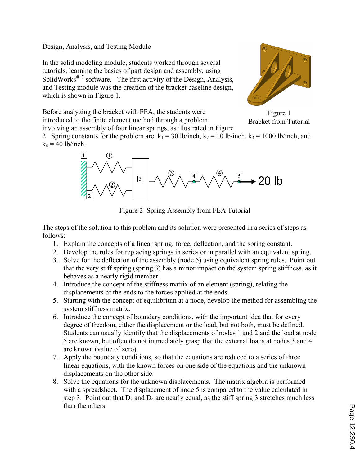Design, Analysis, and Testing Module

In the solid modeling module, students worked through several tutorials, learning the basics of part design and assembly, using SolidWorks<sup>® 7</sup> software. The first activity of the Design, Analysis, and Testing module was the creation of the bracket baseline design, which is shown in Figure 1.



Before analyzing the bracket with FEA, the students were introduced to the finite element method through a problem involving an assembly of four linear springs, as illustrated in Figure

Figure 1 Bracket from Tutorial

2. Spring constants for the problem are:  $k_1 = 30$  lb/inch,  $k_2 = 10$  lb/inch,  $k_3 = 1000$  lb/inch, and  $k_4$  = 40 lb/inch.



Figure 2 Spring Assembly from FEA Tutorial

The steps of the solution to this problem and its solution were presented in a series of steps as follows:

- 1. Explain the concepts of a linear spring, force, deflection, and the spring constant.
- 2. Develop the rules for replacing springs in series or in parallel with an equivalent spring.
- 3. Solve for the deflection of the assembly (node 5) using equivalent spring rules. Point out that the very stiff spring (spring 3) has a minor impact on the system spring stiffness, as it behaves as a nearly rigid member.
- 4. Introduce the concept of the stiffness matrix of an element (spring), relating the displacements of the ends to the forces applied at the ends.
- 5. Starting with the concept of equilibrium at a node, develop the method for assembling the system stiffness matrix.
- 6. Introduce the concept of boundary conditions, with the important idea that for every degree of freedom, either the displacement or the load, but not both, must be defined. Students can usually identify that the displacements of nodes 1 and 2 and the load at node 5 are known, but often do not immediately grasp that the external loads at nodes 3 and 4 are known (value of zero).
- 7. Apply the boundary conditions, so that the equations are reduced to a series of three linear equations, with the known forces on one side of the equations and the unknown displacements on the other side.
- 8. Solve the equations for the unknown displacements. The matrix algebra is performed with a spreadsheet. The displacement of node 5 is compared to the value calculated in step 3. Point out that  $D_3$  and  $D_4$  are nearly equal, as the stiff spring 3 stretches much less than the others.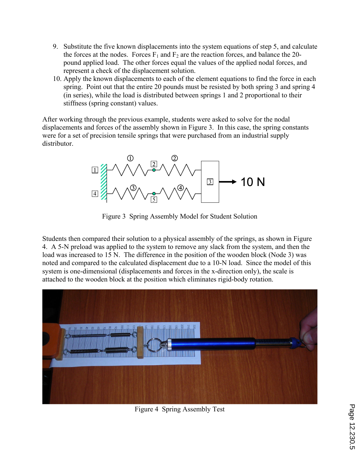- 9. Substitute the five known displacements into the system equations of step 5, and calculate the forces at the nodes. Forces  $F_1$  and  $F_2$  are the reaction forces, and balance the 20pound applied load. The other forces equal the values of the applied nodal forces, and represent a check of the displacement solution.
- 10. Apply the known displacements to each of the element equations to find the force in each spring. Point out that the entire 20 pounds must be resisted by both spring 3 and spring 4 (in series), while the load is distributed between springs 1 and 2 proportional to their stiffness (spring constant) values.

After working through the previous example, students were asked to solve for the nodal displacements and forces of the assembly shown in Figure 3. In this case, the spring constants were for a set of precision tensile springs that were purchased from an industrial supply distributor.



Figure 3 Spring Assembly Model for Student Solution

Students then compared their solution to a physical assembly of the springs, as shown in Figure 4. A 5-N preload was applied to the system to remove any slack from the system, and then the load was increased to 15 N. The difference in the position of the wooden block (Node 3) was noted and compared to the calculated displacement due to a 10-N load. Since the model of this system is one-dimensional (displacements and forces in the x-direction only), the scale is attached to the wooden block at the position which eliminates rigid-body rotation.



Figure 4 Spring Assembly Test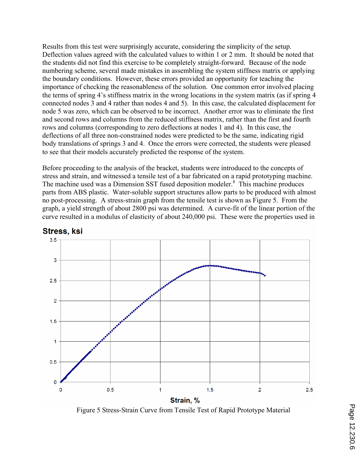Results from this test were surprisingly accurate, considering the simplicity of the setup. Deflection values agreed with the calculated values to within 1 or 2 mm. It should be noted that the students did not find this exercise to be completely straight-forward. Because of the node numbering scheme, several made mistakes in assembling the system stiffness matrix or applying the boundary conditions. However, these errors provided an opportunity for teaching the importance of checking the reasonableness of the solution. One common error involved placing the terms of spring 4's stiffness matrix in the wrong locations in the system matrix (as if spring 4 connected nodes 3 and 4 rather than nodes 4 and 5). In this case, the calculated displacement for node 5 was zero, which can be observed to be incorrect. Another error was to eliminate the first and second rows and columns from the reduced stiffness matrix, rather than the first and fourth rows and columns (corresponding to zero deflections at nodes 1 and 4). In this case, the deflections of all three non-constrained nodes were predicted to be the same, indicating rigid body translations of springs 3 and 4. Once the errors were corrected, the students were pleased to see that their models accurately predicted the response of the system.

Before proceeding to the analysis of the bracket, students were introduced to the concepts of stress and strain, and witnessed a tensile test of a bar fabricated on a rapid prototyping machine. The machine used was a Dimension SST fused deposition modeler.<sup>8</sup> This machine produces parts from ABS plastic. Water-soluble support structures allow parts to be produced with almost no post-processing. A stress-strain graph from the tensile test is shown as Figure 5. From the graph, a yield strength of about 2800 psi was determined. A curve-fit of the linear portion of the curve resulted in a modulus of elasticity of about 240,000 psi. These were the properties used in



## Stress, ksi

Figure 5 Stress-Strain Curve from Tensile Test of Rapid Prototype Material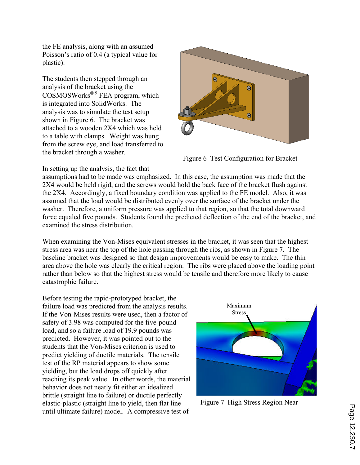the FE analysis, along with an assumed Poisson's ratio of 0.4 (a typical value for plastic).

The students then stepped through an analysis of the bracket using the  $\overline{\text{COSMOSWorts}}^{\text{\textcircled{b}}}$  FEA program, which is integrated into SolidWorks. The analysis was to simulate the test setup shown in Figure 6. The bracket was attached to a wooden 2X4 which was held to a table with clamps. Weight was hung from the screw eye, and load transferred to the bracket through a washer.



Figure 6 Test Configuration for Bracket

In setting up the analysis, the fact that

assumptions had to be made was emphasized. In this case, the assumption was made that the 2X4 would be held rigid, and the screws would hold the back face of the bracket flush against the 2X4. Accordingly, a fixed boundary condition was applied to the FE model. Also, it was assumed that the load would be distributed evenly over the surface of the bracket under the washer. Therefore, a uniform pressure was applied to that region, so that the total downward force equaled five pounds. Students found the predicted deflection of the end of the bracket, and examined the stress distribution.

When examining the Von-Mises equivalent stresses in the bracket, it was seen that the highest stress area was near the top of the hole passing through the ribs, as shown in Figure 7. The baseline bracket was designed so that design improvements would be easy to make. The thin area above the hole was clearly the critical region. The ribs were placed above the loading point rather than below so that the highest stress would be tensile and therefore more likely to cause catastrophic failure.

Before testing the rapid-prototyped bracket, the failure load was predicted from the analysis results. If the Von-Mises results were used, then a factor of safety of 3.98 was computed for the five-pound load, and so a failure load of 19.9 pounds was predicted. However, it was pointed out to the students that the Von-Mises criterion is used to predict yielding of ductile materials. The tensile test of the RP material appears to show some yielding, but the load drops off quickly after reaching its peak value. In other words, the material behavior does not neatly fit either an idealized brittle (straight line to failure) or ductile perfectly elastic-plastic (straight line to yield, then flat line until ultimate failure) model. A compressive test of



Figure 7 High Stress Region Near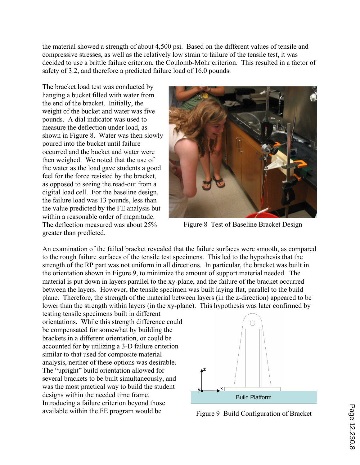the material showed a strength of about 4,500 psi. Based on the different values of tensile and compressive stresses, as well as the relatively low strain to failure of the tensile test, it was decided to use a brittle failure criterion, the Coulomb-Mohr criterion. This resulted in a factor of safety of 3.2, and therefore a predicted failure load of 16.0 pounds.

The bracket load test was conducted by hanging a bucket filled with water from the end of the bracket. Initially, the weight of the bucket and water was five pounds. A dial indicator was used to measure the deflection under load, as shown in Figure 8. Water was then slowly poured into the bucket until failure occurred and the bucket and water were then weighed. We noted that the use of the water as the load gave students a good feel for the force resisted by the bracket, as opposed to seeing the read-out from a digital load cell. For the baseline design, the failure load was 13 pounds, less than the value predicted by the FE analysis but within a reasonable order of magnitude. The deflection measured was about 25% greater than predicted.



Figure 8 Test of Baseline Bracket Design

An examination of the failed bracket revealed that the failure surfaces were smooth, as compared to the rough failure surfaces of the tensile test specimens. This led to the hypothesis that the strength of the RP part was not uniform in all directions. In particular, the bracket was built in the orientation shown in Figure 9, to minimize the amount of support material needed. The material is put down in layers parallel to the xy-plane, and the failure of the bracket occurred between the layers. However, the tensile specimen was built laying flat, parallel to the build plane. Therefore, the strength of the material between layers (in the z-direction) appeared to be lower than the strength within layers (in the xy-plane). This hypothesis was later confirmed by

testing tensile specimens built in different orientations. While this strength difference could be compensated for somewhat by building the brackets in a different orientation, or could be accounted for by utilizing a 3-D failure criterion similar to that used for composite material analysis, neither of these options was desirable. The "upright" build orientation allowed for several brackets to be built simultaneously, and was the most practical way to build the student designs within the needed time frame. Introducing a failure criterion beyond those available within the FE program would be



Figure 9 Build Configuration of Bracket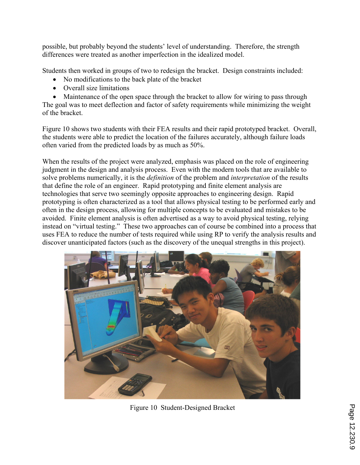possible, but probably beyond the students' level of understanding. Therefore, the strength differences were treated as another imperfection in the idealized model.

Students then worked in groups of two to redesign the bracket. Design constraints included:

- ' No modifications to the back plate of the bracket
- Overall size limitations

• Maintenance of the open space through the bracket to allow for wiring to pass through The goal was to meet deflection and factor of safety requirements while minimizing the weight of the bracket.

Figure 10 shows two students with their FEA results and their rapid prototyped bracket. Overall, the students were able to predict the location of the failures accurately, although failure loads often varied from the predicted loads by as much as 50%.

When the results of the project were analyzed, emphasis was placed on the role of engineering judgment in the design and analysis process. Even with the modern tools that are available to solve problems numerically, it is the *definition* of the problem and *interpretation* of the results that define the role of an engineer. Rapid prototyping and finite element analysis are technologies that serve two seemingly opposite approaches to engineering design. Rapid prototyping is often characterized as a tool that allows physical testing to be performed early and often in the design process, allowing for multiple concepts to be evaluated and mistakes to be avoided. Finite element analysis is often advertised as a way to avoid physical testing, relying instead on "virtual testing." These two approaches can of course be combined into a process that uses FEA to reduce the number of tests required while using RP to verify the analysis results and discover unanticipated factors (such as the discovery of the unequal strengths in this project).



Figure 10 Student-Designed Bracket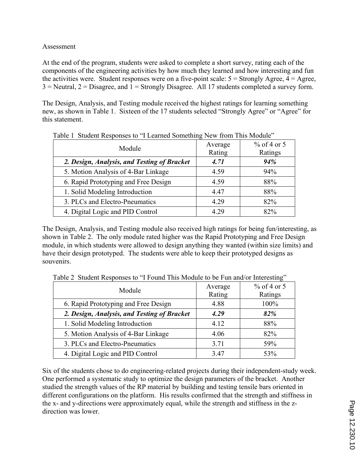## Assessment

At the end of the program, students were asked to complete a short survey, rating each of the components of the engineering activities by how much they learned and how interesting and fun the activities were. Student responses were on a five-point scale:  $5 =$  Strongly Agree,  $4 =$  Agree,  $3$  = Neutral,  $2$  = Disagree, and  $1$  = Strongly Disagree. All 17 students completed a survey form.

The Design, Analysis, and Testing module received the highest ratings for learning something new, as shown in Table 1. Sixteen of the 17 students selected "Strongly Agree" or "Agree" for this statement.

| Table 1. Student Responses to 1 Learned Sometimig New Holli This Module |         |               |  |
|-------------------------------------------------------------------------|---------|---------------|--|
| Module                                                                  | Average | $%$ of 4 or 5 |  |
|                                                                         | Rating  | Ratings       |  |
| 2. Design, Analysis, and Testing of Bracket                             | 4.71    | 94%           |  |
| 5. Motion Analysis of 4-Bar Linkage                                     | 4.59    | 94%           |  |
| 6. Rapid Prototyping and Free Design                                    | 4.59    | 88%           |  |
| 1. Solid Modeling Introduction                                          | 4.47    | 88%           |  |
| 3. PLCs and Electro-Pneumatics                                          | 4.29    | 82%           |  |
| 4. Digital Logic and PID Control                                        | 4.29    | 82%           |  |

Table 1 Student Responses to "I Learned Something New from This Module"

The Design, Analysis, and Testing module also received high ratings for being fun/interesting, as shown in Table 2. The only module rated higher was the Rapid Prototyping and Free Design module, in which students were allowed to design anything they wanted (within size limits) and have their design prototyped. The students were able to keep their prototyped designs as souvenirs.

| Module                                      | Average<br>Rating | $%$ of 4 or 5<br>Ratings |
|---------------------------------------------|-------------------|--------------------------|
| 6. Rapid Prototyping and Free Design        | 4.88              | 100%                     |
| 2. Design, Analysis, and Testing of Bracket | 4.29              | 82%                      |
| 1. Solid Modeling Introduction              | 4.12              | 88%                      |
| 5. Motion Analysis of 4-Bar Linkage         | 4.06              | 82%                      |
| 3. PLCs and Electro-Pneumatics              | 3.71              | 59%                      |
| 4. Digital Logic and PID Control            | 3.47              | 53%                      |

Table 2 Student Responses to "I Found This Module to be Fun and/or Interesting"

Six of the students chose to do engineering-related projects during their independent-study week. One performed a systematic study to optimize the design parameters of the bracket. Another studied the strength values of the RP material by building and testing tensile bars oriented in different configurations on the platform. His results confirmed that the strength and stiffness in the x- and y-directions were approximately equal, while the strength and stiffness in the zdirection was lower.